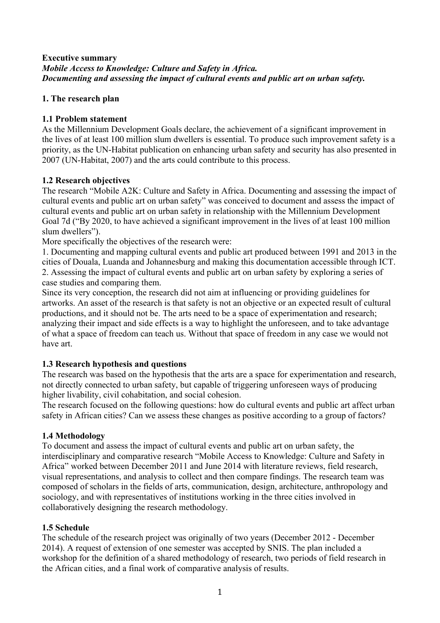#### **Executive summary** *Mobile Access to Knowledge: Culture and Safety in Africa. Documenting and assessing the impact of cultural events and public art on urban safety.*

## **1. The research plan**

#### **1.1 Problem statement**

As the Millennium Development Goals declare, the achievement of a significant improvement in the lives of at least 100 million slum dwellers is essential. To produce such improvement safety is a priority, as the UN-Habitat publication on enhancing urban safety and security has also presented in 2007 (UN-Habitat, 2007) and the arts could contribute to this process.

## **1.2 Research objectives**

The research "Mobile A2K: Culture and Safety in Africa. Documenting and assessing the impact of cultural events and public art on urban safety" was conceived to document and assess the impact of cultural events and public art on urban safety in relationship with the Millennium Development Goal 7d ("By 2020, to have achieved a significant improvement in the lives of at least 100 million slum dwellers").

More specifically the objectives of the research were:

1. Documenting and mapping cultural events and public art produced between 1991 and 2013 in the cities of Douala, Luanda and Johannesburg and making this documentation accessible through ICT. 2. Assessing the impact of cultural events and public art on urban safety by exploring a series of case studies and comparing them.

Since its very conception, the research did not aim at influencing or providing guidelines for artworks. An asset of the research is that safety is not an objective or an expected result of cultural productions, and it should not be. The arts need to be a space of experimentation and research; analyzing their impact and side effects is a way to highlight the unforeseen, and to take advantage of what a space of freedom can teach us. Without that space of freedom in any case we would not have art.

## **1.3 Research hypothesis and questions**

The research was based on the hypothesis that the arts are a space for experimentation and research, not directly connected to urban safety, but capable of triggering unforeseen ways of producing higher livability, civil cohabitation, and social cohesion.

The research focused on the following questions: how do cultural events and public art affect urban safety in African cities? Can we assess these changes as positive according to a group of factors?

#### **1.4 Methodology**

To document and assess the impact of cultural events and public art on urban safety, the interdisciplinary and comparative research "Mobile Access to Knowledge: Culture and Safety in Africa" worked between December 2011 and June 2014 with literature reviews, field research, visual representations, and analysis to collect and then compare findings. The research team was composed of scholars in the fields of arts, communication, design, architecture, anthropology and sociology, and with representatives of institutions working in the three cities involved in collaboratively designing the research methodology.

#### **1.5 Schedule**

The schedule of the research project was originally of two years (December 2012 - December 2014). A request of extension of one semester was accepted by SNIS. The plan included a workshop for the definition of a shared methodology of research, two periods of field research in the African cities, and a final work of comparative analysis of results.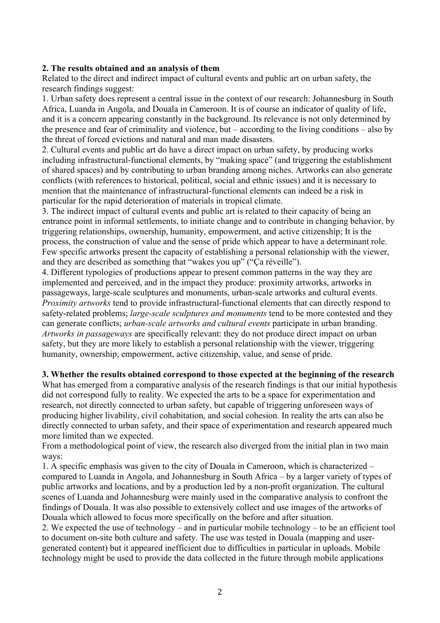#### **2. The results obtained and an analysis of them**

Related to the direct and indirect impact of cultural events and public art on urban safety, the research findings suggest:

1. Urban safety does represent a central issue in the context of our research: Johannesburg in South Africa, Luanda in Angola, and Douala in Cameroon. It is of course an indicator of quality of life, and it is a concern appearing constantly in the background. Its relevance is not only determined by the presence and fear of criminality and violence, but – according to the living conditions – also by the threat of forced evictions and natural and man made disasters.

2. Cultural events and public art do have a direct impact on urban safety, by producing works including infrastructural-functional elements, by "making space" (and triggering the establishment of shared spaces) and by contributing to urban branding among niches. Artworks can also generate conflicts (with references to historical, political, social and ethnic issues) and it is necessary to mention that the maintenance of infrastructural-functional elements can indeed be a risk in particular for the rapid deterioration of materials in tropical climate.

3. The indirect impact of cultural events and public art is related to their capacity of being an entrance point in informal settlements, to initiate change and to contribute in changing behavior, by triggering relationships, ownership, humanity, empowerment, and active citizenship; It is the process, the construction of value and the sense of pride which appear to have a determinant role. Few specific artworks present the capacity of establishing a personal relationship with the viewer, and they are described as something that "wakes you up" ("Ça réveille").

4. Different typologies of productions appear to present common patterns in the way they are implemented and perceived, and in the impact they produce: proximity artworks, artworks in passageways, large-scale sculptures and monuments, urban-scale artworks and cultural events. *Proximity artworks* tend to provide infrastructural-functional elements that can directly respond to safety-related problems; *large-scale sculptures and monuments* tend to be more contested and they can generate conflicts; *urban-scale artworks and cultural events* participate in urban branding. *Artworks in passageways* are specifically relevant: they do not produce direct impact on urban safety, but they are more likely to establish a personal relationship with the viewer, triggering humanity, ownership, empowerment, active citizenship, value, and sense of pride.

#### **3. Whether the results obtained correspond to those expected at the beginning of the research**

What has emerged from a comparative analysis of the research findings is that our initial hypothesis did not correspond fully to reality. We expected the arts to be a space for experimentation and research, not directly connected to urban safety, but capable of triggering unforeseen ways of producing higher livability, civil cohabitation, and social cohesion. In reality the arts can also be directly connected to urban safety, and their space of experimentation and research appeared much more limited than we expected.

From a methodological point of view, the research also diverged from the initial plan in two main ways:

1. A specific emphasis was given to the city of Douala in Cameroon, which is characterized – compared to Luanda in Angola, and Johannesburg in South Africa – by a larger variety of types of public artworks and locations, and by a production led by a non-profit organization. The cultural scenes of Luanda and Johannesburg were mainly used in the comparative analysis to confront the findings of Douala. It was also possible to extensively collect and use images of the artworks of Douala which allowed to focus more specifically on the before and after situation.

2. We expected the use of technology – and in particular mobile technology – to be an efficient tool to document on-site both culture and safety. The use was tested in Douala (mapping and usergenerated content) but it appeared inefficient due to difficulties in particular in uploads. Mobile technology might be used to provide the data collected in the future through mobile applications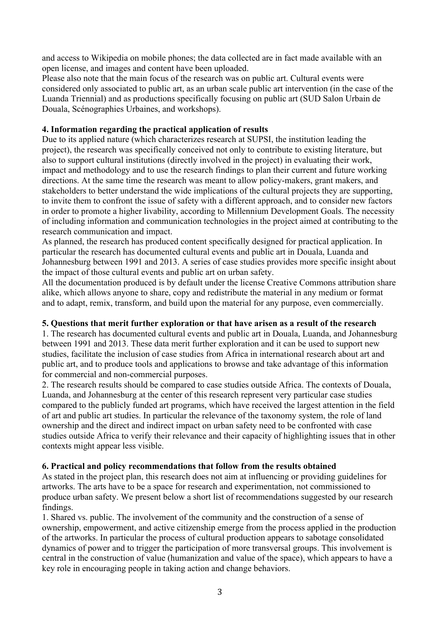and access to Wikipedia on mobile phones; the data collected are in fact made available with an open license, and images and content have been uploaded.

Please also note that the main focus of the research was on public art. Cultural events were considered only associated to public art, as an urban scale public art intervention (in the case of the Luanda Triennial) and as productions specifically focusing on public art (SUD Salon Urbain de Douala, Scénographies Urbaines, and workshops).

#### **4. Information regarding the practical application of results**

Due to its applied nature (which characterizes research at SUPSI, the institution leading the project), the research was specifically conceived not only to contribute to existing literature, but also to support cultural institutions (directly involved in the project) in evaluating their work, impact and methodology and to use the research findings to plan their current and future working directions. At the same time the research was meant to allow policy-makers, grant makers, and stakeholders to better understand the wide implications of the cultural projects they are supporting, to invite them to confront the issue of safety with a different approach, and to consider new factors in order to promote a higher livability, according to Millennium Development Goals. The necessity of including information and communication technologies in the project aimed at contributing to the research communication and impact.

As planned, the research has produced content specifically designed for practical application. In particular the research has documented cultural events and public art in Douala, Luanda and Johannesburg between 1991 and 2013. A series of case studies provides more specific insight about the impact of those cultural events and public art on urban safety.

All the documentation produced is by default under the license Creative Commons attribution share alike, which allows anyone to share, copy and redistribute the material in any medium or format and to adapt, remix, transform, and build upon the material for any purpose, even commercially.

#### **5. Questions that merit further exploration or that have arisen as a result of the research**

1. The research has documented cultural events and public art in Douala, Luanda, and Johannesburg between 1991 and 2013. These data merit further exploration and it can be used to support new studies, facilitate the inclusion of case studies from Africa in international research about art and public art, and to produce tools and applications to browse and take advantage of this information for commercial and non-commercial purposes.

2. The research results should be compared to case studies outside Africa. The contexts of Douala, Luanda, and Johannesburg at the center of this research represent very particular case studies compared to the publicly funded art programs, which have received the largest attention in the field of art and public art studies. In particular the relevance of the taxonomy system, the role of land ownership and the direct and indirect impact on urban safety need to be confronted with case studies outside Africa to verify their relevance and their capacity of highlighting issues that in other contexts might appear less visible.

#### **6. Practical and policy recommendations that follow from the results obtained**

As stated in the project plan, this research does not aim at influencing or providing guidelines for artworks. The arts have to be a space for research and experimentation, not commissioned to produce urban safety. We present below a short list of recommendations suggested by our research findings.

1. Shared vs. public. The involvement of the community and the construction of a sense of ownership, empowerment, and active citizenship emerge from the process applied in the production of the artworks. In particular the process of cultural production appears to sabotage consolidated dynamics of power and to trigger the participation of more transversal groups. This involvement is central in the construction of value (humanization and value of the space), which appears to have a key role in encouraging people in taking action and change behaviors.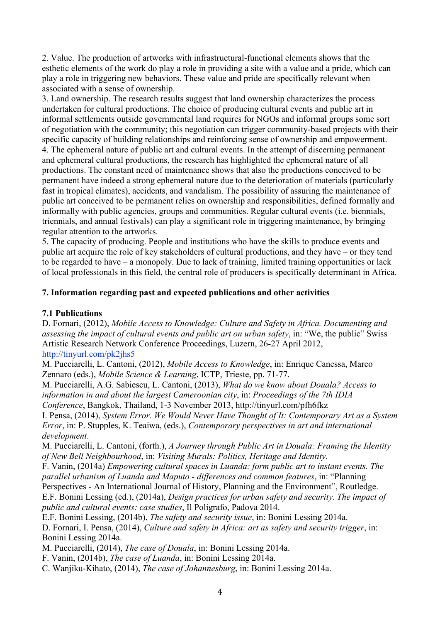2. Value. The production of artworks with infrastructural-functional elements shows that the esthetic elements of the work do play a role in providing a site with a value and a pride, which can play a role in triggering new behaviors. These value and pride are specifically relevant when associated with a sense of ownership.

3. Land ownership. The research results suggest that land ownership characterizes the process undertaken for cultural productions. The choice of producing cultural events and public art in informal settlements outside governmental land requires for NGOs and informal groups some sort of negotiation with the community; this negotiation can trigger community-based projects with their specific capacity of building relationships and reinforcing sense of ownership and empowerment. 4. The ephemeral nature of public art and cultural events. In the attempt of discerning permanent and ephemeral cultural productions, the research has highlighted the ephemeral nature of all productions. The constant need of maintenance shows that also the productions conceived to be permanent have indeed a strong ephemeral nature due to the deterioration of materials (particularly fast in tropical climates), accidents, and vandalism. The possibility of assuring the maintenance of public art conceived to be permanent relies on ownership and responsibilities, defined formally and informally with public agencies, groups and communities. Regular cultural events (i.e. biennials, triennials, and annual festivals) can play a significant role in triggering maintenance, by bringing regular attention to the artworks.

5. The capacity of producing. People and institutions who have the skills to produce events and public art acquire the role of key stakeholders of cultural productions, and they have – or they tend to be regarded to have – a monopoly. Due to lack of training, limited training opportunities or lack of local professionals in this field, the central role of producers is specifically determinant in Africa.

## **7. Information regarding past and expected publications and other activities**

## **7.1 Publications**

D. Fornari, (2012), *Mobile Access to Knowledge: Culture and Safety in Africa. Documenting and assessing the impact of cultural events and public art on urban safety*, in: "We, the public" Swiss Artistic Research Network Conference Proceedings, Luzern, 26-27 April 2012, http://tinyurl.com/pk2jhs5

M. Pucciarelli, L. Cantoni, (2012), *Mobile Access to Knowledge*, in: Enrique Canessa, Marco Zennaro (eds.), *Mobile Science & Learning*, ICTP, Trieste, pp. 71-77.

M. Pucciarelli, A.G. Sabiescu, L. Cantoni, (2013), *What do we know about Douala? Access to information in and about the largest Cameroonian city*, in: *Proceedings of the 7th IDIA Conference*, Bangkok, Thailand, 1-3 November 2013, http://tinyurl.com/pfh6fkz

I. Pensa, (2014), *System Error. We Would Never Have Thought of It: Contemporary Art as a System Error*, in: P. Stupples, K. Teaiwa, (eds.), *Contemporary perspectives in art and international development*.

M. Pucciarelli, L. Cantoni, (forth.), *A Journey through Public Art in Douala: Framing the Identity of New Bell Neighbourhood*, in: *Visiting Murals: Politics, Heritage and Identity*.

F. Vanin, (2014a) *Empowering cultural spaces in Luanda: form public art to instant events. The parallel urbanism of Luanda and Maputo - differences and common features*, in: "Planning

Perspectives - An International Journal of History, Planning and the Environment", Routledge.

E.F. Bonini Lessing (ed.), (2014a), *Design practices for urban safety and security. The impact of public and cultural events: case studies*, Il Poligrafo, Padova 2014.

E.F. Bonini Lessing, (2014b), *The safety and security issue*, in: Bonini Lessing 2014a.

D. Fornari, I. Pensa, (2014), *Culture and safety in Africa: art as safety and security trigger*, in: Bonini Lessing 2014a.

M. Pucciarelli, (2014), *The case of Douala*, in: Bonini Lessing 2014a.

F. Vanin, (2014b), *The case of Luanda*, in: Bonini Lessing 2014a.

C. Wanjiku-Kihato, (2014), *The case of Johannesburg*, in: Bonini Lessing 2014a.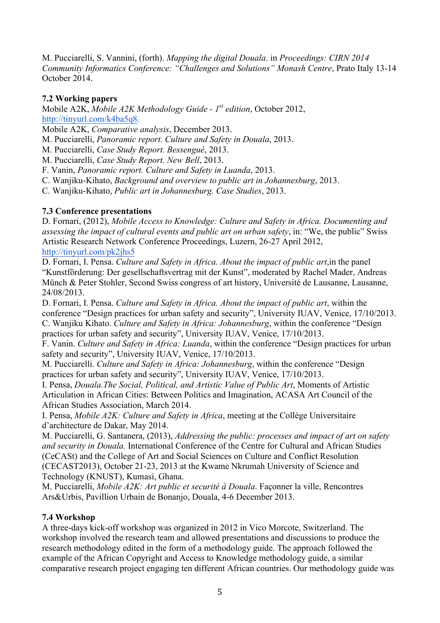M. Pucciarelli, S. Vannini, (forth). *Mapping the digital Douala*. in *Proceedings: CIRN 2014 Community Informatics Conference: "Challenges and Solutions" Monash Centre*, Prato Italy 13-14 October 2014.

## **7.2 Working papers**

Mobile A2K, *Mobile A2K Methodology Guide - 1st edition*, October 2012, http://tinyurl.com/k4ba5q8.

Mobile A2K, *Comparative analysis*, December 2013.

M. Pucciarelli, *Panoramic report. Culture and Safety in Douala*, 2013.

M. Pucciarelli, *Case Study Report. Bessengué*, 2013.

M. Pucciarelli, *Case Study Report. New Bell*, 2013.

F. Vanin, *Panoramic report. Culture and Safety in Luanda*, 2013.

C. Wanjiku-Kihato, *Background and overview to public art in Johannesburg*, 2013.

C. Wanjiku-Kihato, *Public art in Johannesburg. Case Studies*, 2013.

## **7.3 Conference presentations**

D. Fornari, (2012), *Mobile Access to Knowledge: Culture and Safety in Africa. Documenting and assessing the impact of cultural events and public art on urban safety*, in: "We, the public" Swiss Artistic Research Network Conference Proceedings, Luzern, 26-27 April 2012, http://tinyurl.com/pk2jhs5

D. Fornari, I. Pensa. *Culture and Safety in Africa. About the impact of public art*,in the panel "Kunstförderung: Der gesellschaftsvertrag mit der Kunst", moderated by Rachel Mader, Andreas Münch & Peter Stohler, Second Swiss congress of art history, Université de Lausanne, Lausanne, 24/08/2013.

D. Fornari, I. Pensa. *Culture and Safety in Africa. About the impact of public art*, within the conference "Design practices for urban safety and security", University IUAV, Venice, 17/10/2013. C. Wanjiku Kihato. *Culture and Safety in Africa: Johannesburg*, within the conference "Design practices for urban safety and security", University IUAV, Venice, 17/10/2013.

F. Vanin. *Culture and Safety in Africa: Luanda*, within the conference "Design practices for urban safety and security", University IUAV, Venice, 17/10/2013.

M. Pucciarelli. *Culture and Safety in Africa: Johannesburg*, within the conference "Design practices for urban safety and security", University IUAV, Venice, 17/10/2013.

I. Pensa, *Douala.The Social, Political, and Artistic Value of Public Art*, Moments of Artistic Articulation in African Cities: Between Politics and Imagination, ACASA Art Council of the African Studies Association, March 2014.

I. Pensa, *Mobile A2K: Culture and Safety in Africa*, meeting at the Collège Universitaire d'architecture de Dakar, May 2014.

M. Pucciarelli, G. Santanera, (2013), *Addressing the public: processes and impact of art on safety and security in Douala.* International Conference of the Centre for Cultural and African Studies (CeCASt) and the College of Art and Social Sciences on Culture and Conflict Resolution (CECAST2013), October 21-23, 2013 at the Kwame Nkrumah University of Science and Technology (KNUST), Kumasi, Ghana.

M. Pucciarelli, *Mobile A2K: Art public et securité à Douala*. Façonner la ville, Rencontres Ars&Urbis, Pavillion Urbain de Bonanjo, Douala, 4-6 December 2013.

#### **7.4 Workshop**

A three-days kick-off workshop was organized in 2012 in Vico Morcote, Switzerland. The workshop involved the research team and allowed presentations and discussions to produce the research methodology edited in the form of a methodology guide. The approach followed the example of the African Copyright and Access to Knowledge methodology guide, a similar comparative research project engaging ten different African countries. Our methodology guide was